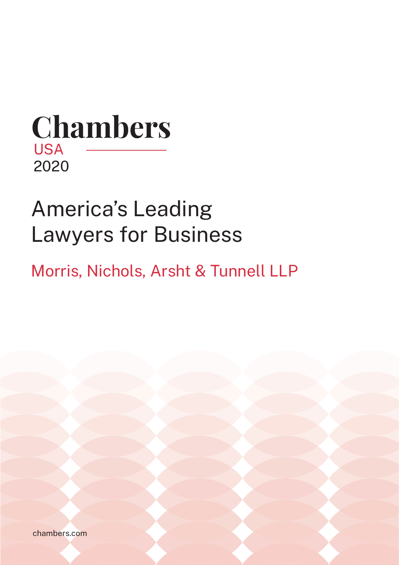# **Chambers** USA 2020

# America's Leading Lawyers for Business

Morris, Nichols, Arsht & Tunnell LLP

chambers.com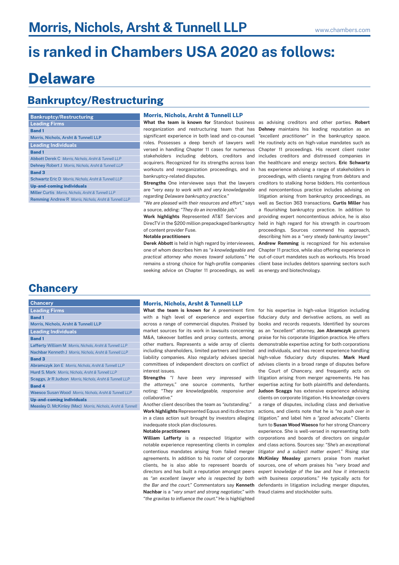## **is ranked in Chambers USA 2020 as follows:**

## **Delaware**

### **Bankruptcy/Restructuring**

#### **Band 1 Abbott** Derek C *Morris, Nichols, Arsht & Tunnell LLP* **Dehney** Robert J *Morris, Nichols, Arsht & Tunnell LLP* **Band 3 Schwartz** Eric D *Morris, Nichols, Arsht & Tunnell LLP* **Up-and-coming individuals Miller** Curtis *Morris, Nichols, Arsht & Tunnell LLP* **Remming** Andrew R *Morris, Nichols, Arsht & Tunnell LLP* **Leading Individuals Band 1 Morris, Nichols, Arsht & Tunnell LLP Leading Firms Bankruptcy/Restructuring**

#### **Morris, Nichols, Arsht & Tunnell LLP**

significant experience in both lead and co-counsel roles. Possesses a deep bench of lawyers well versed in handling Chapter 11 cases for numerous stakeholders including debtors, creditors and acquirers. Recognized for its strengths across loan workouts and reorganization proceedings, and in bankruptcy-related disputes.

**Strengths** One interviewee says that the lawyers are *"very easy to work with and very knowledgeable regarding Delaware bankruptcy practice."*

*"We are pleased with their resources and effort,"* says a source, adding: *"They do an incredible job."*

**Work highlights** Represented AT&T Services and DirecTV in the \$200 million prepackaged bankruptcy of content provider Fuse.

**Notable practitioners**

**Derek Abbott** is held in high regard by interviewees, one of whom describes him as *"a knowledgeable and*  Chapter 11 practice, while also offering experience in *practical attorney who moves toward solutions."* He out-of-court mandates such as workouts. His broad remains a strong choice for high-profile companies seeking advice on Chapter 11 proceedings, as well as energy and biotechnology.

**What the team is known for** Standout business as advising creditors and other parties. **Robert**  reorganization and restructuring team that has **Dehney** maintains his leading reputation as an *"excellent practitioner"* in the bankruptcy space. He routinely acts on high-value mandates such as Chapter 11 proceedings. His recent client roster includes creditors and distressed companies in the healthcare and energy sectors. **Eric Schwartz** has experience advising a range of stakeholders in proceedings, with clients ranging from debtors and creditors to stalking horse bidders. His contentious and noncontentious practice includes advising on litigation arising from bankruptcy proceedings, as well as Section 363 transactions. **Curtis Miller** has a flourishing bankruptcy practice. In addition to providing expert noncontentious advice, he is also held in high regard for his strength in courtroom proceedings. Sources commend his approach, describing him as a *"very steady bankruptcy lawyer."* **Andrew Remming** is recognized for his extensive client base includes debtors spanning sectors such

### **Chancery**

**Measley** D. McKinley (Mac) *Morris, Nichols, Arsht & Tunnell* 

#### **Morris, Nichols, Arsht & Tunnell LLP**

including shareholders, limited partners and limited liability companies. Also regularly advises special interest issues.

*the attorneys,"* one source comments, further *collaborative."*

Another client describes the team as *"outstanding."* **Work highlights** Represented Equus and its directors in a class action suit brought by investors alleging inadequate stock plan disclosures.

**Notable practitioners**

**William Lafferty** is a respected litigator with notable experience representing clients in complex contentious mandates arising from failed merger agreements. In addition to his roster of corporate clients, he is also able to represent boards of directors and has built a reputation amongst peers as *"an excellent lawyer who is respected by both*  **Nachbar** is a *"very smart and strong negotiator,"* with fraud claims and stockholder suits. *"the gravitas to influence the court."* He is highlighted

What the team is known for A preeminent firm for his expertise in high-value litigation including with a high level of experience and expertise fiduciary duty and derivative actions, as well as across a range of commercial disputes. Praised by books and records requests. Identified by sources market sources for its work in lawsuits concerning as an *"excellent"* attorney, **Jon Abramczyk** garners M&A, takeover battles and proxy contests, among praise for his corporate litigation practice. He offers other matters. Represents a wide array of clients demonstrable expertise acting for both corporations committees of independent directors on conflict of advises clients in a broad range of disputes before Strengths "I have been very impressed with litigation arising from merger agreements. He has noting: *"They are knowledgeable, responsive and*  **Judson Scaggs** has extensive experience advising *the Bar and the court."* Commentators say **Kenneth**  defendants in litigation including merger disputes, and individuals, and has recent experience handling high-value fiduciary duty disputes. **Mark Hurd** the Court of Chancery, and frequently acts on expertise acting for both plaintiffs and defendants. clients on corporate litigation. His knowledge covers a range of disputes, including class and derivative actions, and clients note that he is *"no push over in litigation,"* and label him a *"good advocate."* Clients turn to **Susan Wood Waesco** for her strong Chancery experience. She is well-versed in representing both corporations and boards of directors on singular and class actions. Sources say: *"She's an exceptional litigator and a subject matter expert."* Rising star **McKinley Measley** garners praise from market sources, one of whom praises his *"very broad and expert knowledge of the law and how it intersects with business corporations."* He typically acts for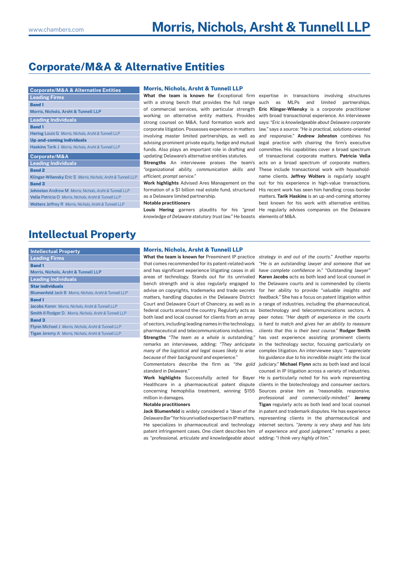## **Corporate/M&A & Alternative Entities**

**Corporate/M&A & Alternative Entities**

| <b>Leading Firms</b>                                              |
|-------------------------------------------------------------------|
| <b>Band1</b>                                                      |
| Morris, Nichols, Arsht & Tunnell LLP                              |
| <b>Leading Individuals</b>                                        |
| <b>Band 1</b>                                                     |
| <b>Hering Louis G Morris, Nichols, Arsht &amp; Tunnell LLP</b>    |
| <b>Up-and-coming individuals</b>                                  |
| Haskins Tarik J Morris, Nichols, Arsht & Tunnell LLP              |
| Corporate/M&A                                                     |
| <b>Leading Individuals</b>                                        |
| <b>Band 2</b>                                                     |
| Klinger-Wilensky Eric S Morris, Nichols, Arsht & Tunnell LLP      |
| <b>Band 3</b>                                                     |
| Johnston Andrew M Morris, Nichols, Arsht & Tunnell LLP            |
| Vella Patricia O Morris, Nichols, Arsht & Tunnell LLP             |
| <b>Wolters Jeffrey R Morris, Nichols, Arsht &amp; Tunnell LLP</b> |
|                                                                   |

#### **Morris, Nichols, Arsht & Tunnell LLP**

updating Delaware's alternative entities statutes.

Strengths An interviewee praises the team's acts on a broad spectrum of corporate matters. *"organizational ability, communication skills and*  These include transactional work with household*efficient, prompt service."*

as a Delaware limited partnership.

#### **Notable practitioners**

Louis Hering garners plaudits for his "great He regularly advises companies on the Delaware *knowledge of Delaware statutory trust law."* He boasts elements of M&A.

What the team is known for Exceptional firm expertise in transactions involving structures with a strong bench that provides the full range such as MLPs and limited partnerships. of commercial services, with particular strength **Eric Klinger-Wilensky** is a corporate practitioner working on alternative entity matters. Provides with broad transactional experience. An interviewee strong counsel on M&A, fund formation work and says: *"Eric is knowledgeable about Delaware corporate*  corporate litigation. Possesses experience in matters *law,"* says a source: *"He is practical, solutions-oriented*  involving master limited partnerships, as well as *and responsive."* **Andrew Johnston** combines his advising prominent private equity, hedge and mutual legal practice with chairing the firm's executive funds. Also plays an important role in drafting and committee. His capabilities cover a broad spectrum Work highlights Advised Ares Management on the out for his experience in high-value transactions. formation of a \$1 billion real estate fund, structured His recent work has seen him handling cross-border of transactional corporate matters. **Patricia Vella** name clients. **Jeffrey Wolters** is regularly sought matters. **Tarik Haskins** is an up-and-coming attorney best known for his work with alternative entities.

### **Intellectual Property**

| <b>Intellectual Property</b>                                       |
|--------------------------------------------------------------------|
| <b>Leading Firms</b>                                               |
| <b>Band 1</b>                                                      |
| Morris, Nichols, Arsht & Tunnell LLP                               |
| <b>Leading Individuals</b>                                         |
| <b>Star individuals</b>                                            |
| <b>Blumenfeld Jack B Morris, Nichols, Arsht &amp; Tunnell LLP</b>  |
| <b>Band 1</b>                                                      |
| Jacobs Karen Morris, Nichols, Arsht & Tunnell LLP                  |
| <b>Smith II Rodger D. Morris, Nichols, Arsht &amp; Tunnell LLP</b> |
| <b>Band 3</b>                                                      |
| <b>Flynn Michael J Morris, Nichols, Arsht &amp; Tunnell LLP</b>    |
| <b>Tigan Jeremy A Morris, Nichols, Arsht &amp; Tunnell LLP</b>     |

#### **Morris, Nichols, Arsht & Tunnell LLP**

**What the team is known for** Preeminent IP practice *strategy in and out of the courts."* Another reports: pharmaceutical and telecommunications industries. *clients that this is their best course."* **Rodger Smith** *because of their background and experience."* 

*standard in Delaware."* 

Healthcare in a pharmaceutical patent dispute clients in the biotechnology and consumer sectors. concerning hemophilia treatment, winning \$155 Sources praise him as *"reasonable, responsive,*  million in damages.

#### **Notable practitioners**

Delaware Bar" for his unrivalled expertise in IP matters. representing clients in the pharmaceutical and He specializes in pharmaceutical and technology internet sectors. *"Jeremy is very sharp and has lots*  patent infringement cases. One client describes him *of experience and good judgment,"* remarks a peer, as *"professional, articulate and knowledgeable about*  adding: *"I think very highly of him."* 

that comes recommended for its patent-related work *"He is an outstanding lawyer and someone that we*  and has significant experience litigating cases in all *have complete confidence in." "Outstanding lawyer"*  areas of technology. Stands out for its unrivaled **Karen Jacobs** acts as both lead and local counsel in bench strength and is also regularly engaged to the Delaware courts and is commended by clients advise on copyrights, trademarks and trade secrets for her ability to provide *"valuable insights and*  matters, handling disputes in the Delaware District *feedback."* She has a focus on patent litigation within Court and Delaware Court of Chancery, as well as in a range of industries, including the pharmaceutical, federal courts around the country. Regularly acts as biotechnology and telecommunications sectors. A both lead and local counsel for clients from an array peer notes: *"Her depth of experience in the courts*  of sectors, including leading names in the technology, *is hard to match and gives her an ability to reassure*  **Strengths** *"The team as a whole is outstanding,"*  has vast experience assisting prominent clients remarks an interviewee, adding: *"They anticipate*  in the technology sector, focusing particularly on *many of the logistical and legal issues likely to arise*  complex litigation. An interviewee says: *"I appreciate*  Commentators describe the firm as *"the gold judiciary."* **Michael Flynn** acts as both lead and local Work highlights Successfully acted for Bayer He is particularly noted for his work representing Jack Blumenfeld is widely considered a "dean of the in patent and trademark disputes. He has experience *his guidance due to his incredible insight into the local*  counsel in IP litigation across a variety of industries. *professional and commercially-minded."* **Jeremy Tigan** regularly acts as both lead and local counsel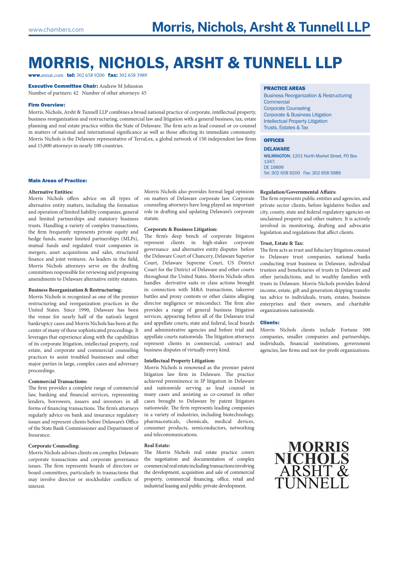## MORRIS, NICHOLS, ARSHT & TUNNELL LLP

www.mnat.com tel: 302 658 9200 fax: 302 658 3989

Executive Committee Chair: Andrew M Johnston Number of partners: 42 Number of other attorneys: 45

#### Firm Overview:

Morris, Nichols, Arsht & Tunnell LLP combines a broad national practice of corporate, intellectual property, business reorganization and restructuring, commercial law and litigation with a general business, tax, estate planning and real estate practice within the State of Delaware. The firm acts as lead counsel or co-counsel in matters of national and international significance as well as those affecting its immediate community. Morris Nichols is the Delaware representative of TerraLex, a global network of 150 independent law firms and 15,000 attorneys in nearly 100 countries.

#### Main Areas of Practice:

#### **Alternative Entities:**

Morris Nichols offers advice on all types of alternative entity matters, including the formation and operation of limited liability companies, general and limited partnerships and statutory business trusts. Handling a variety of complex transactions, the firm frequently represents private equity and hedge funds, master limited partnerships (MLPs), mutual funds and regulated trust companies in mergers, asset acquisitions and sales, structured finance and joint ventures. As leaders in the field, Morris Nichols attorneys serve on the drafting committees responsible for reviewing and proposing amendments to Delaware alternative entity statutes.

#### **Business Reorganization & Restructuring:**

Morris Nichols is recognized as one of the premier restructuring and reorganization practices in the United States. Since 1990, Delaware has been the venue for nearly half of the nation's largest bankruptcy cases and Morris Nichols has been at the center of many of these sophisticated proceedings. It leverages that experience along with the capabilities of its corporate litigation, intellectual property, real estate, and corporate and commercial counseling practices to assist troubled businesses and other major parties in large, complex cases and adversary proceedings.

#### **Commercial Transactions:**

The firm provides a complete range of commercial law, banking and financial services, representing lenders, borrowers, issuers and investors in all forms of financing transactions. The firm's attorneys regularly advice on bank and insurance regulatory issues and represent clients before Delaware's Office of the State Bank Commissioner and Department of Insurance.

#### **Corporate Counseling:**

Morris Nichols advises clients on complex Delaware corporate transactions and corporate governance issues. The firm represents boards of directors or board committees, particularly in transactions that may involve director or stockholder conflicts of interest.

Morris Nichols also provides formal legal opinions on matters of Delaware corporate law. Corporate counseling attorneys have long played an important role in drafting and updating Delaware's corporate statute.

#### **Corporate & Business Litigation:**

The firm's deep bench of corporate litigators represent clients in high-stakes corporate governance and alternative entity disputes before the Delaware Court of Chancery, Delaware Superior Court, Delaware Supreme Court, US District Court for the District of Delaware and other courts throughout the United States. Morris Nichols often handles derivative suits or class actions brought in connection with M&A transactions, takeover battles and proxy contests or other claims alleging director negligence or misconduct. The firm also provides a range of general business litigation services, appearing before all of the Delaware trial and appellate courts, state and federal, local boards and administrative agencies and before trial and appellate courts nationwide. The litigation attorneys represent clients in commercial, contract and business disputes of virtually every kind.

#### **Intellectual Property Litigation:**

Morris Nichols is renowned as the premier patent litigation law firm in Delaware. The practice achieved preeminence in IP litigation in Delaware and nationwide serving as lead counsel in many cases and assisting as co-counsel in other cases brought to Delaware by patent litigators nationwide. The firm represents leading companies in a variety of industries, including biotechnology, pharmaceuticals, chemicals, medical devices, consumer products, semiconductors, networking and telecommunications.

#### **Real Estate:**

The Morris Nichols real estate practice covers the negotiation and documentation of complex commercial real estate including transactions involving the development, acquisition and sale of commercial property, commercial financing, office, retail and industrial leasing and public-private development.

#### PRACTICE AREAS

Business Reorganization & Restructuring Commercial Corporate Counseling Corporate & Business Litigation Intellectual Property Litigation Trusts, Estates & Tax

#### OFFICES

DELAWARE WILMINGTON: 1201 North Market Street, PO Box 1347, DE 19899 Tel: 302 658 9200 Fax: 302 658 3989

#### **Regulation/Governmental Affairs:**

The firm represents public entities and agencies, and private sector clients, before legislative bodies and city, county, state and federal regulatory agencies on unclaimed property and other matters. It is actively involved in monitoring, drafting and advocatin legislation and regulations that affect clients.

#### **Trust, Estate & Tax:**

The firm acts as trust and fiduciary litigation counsel to Delaware trust companies, national banks conducting trust business in Delaware, individual trustees and beneficiaries of trusts in Delaware and other jurisdictions, and to wealthy families with trusts in Delaware. Morris Nichols provides federal income, estate, gift and generation skipping transfer tax advice to individuals, trusts, estates, business enterprises and their owners, and charitable organizations nationwide.

#### Clients:

Morris Nichols clients include Fortune 500 companies, smaller companies and partnerships, individuals, financial institutions, government agencies, law firms and not-for-profit organizations.